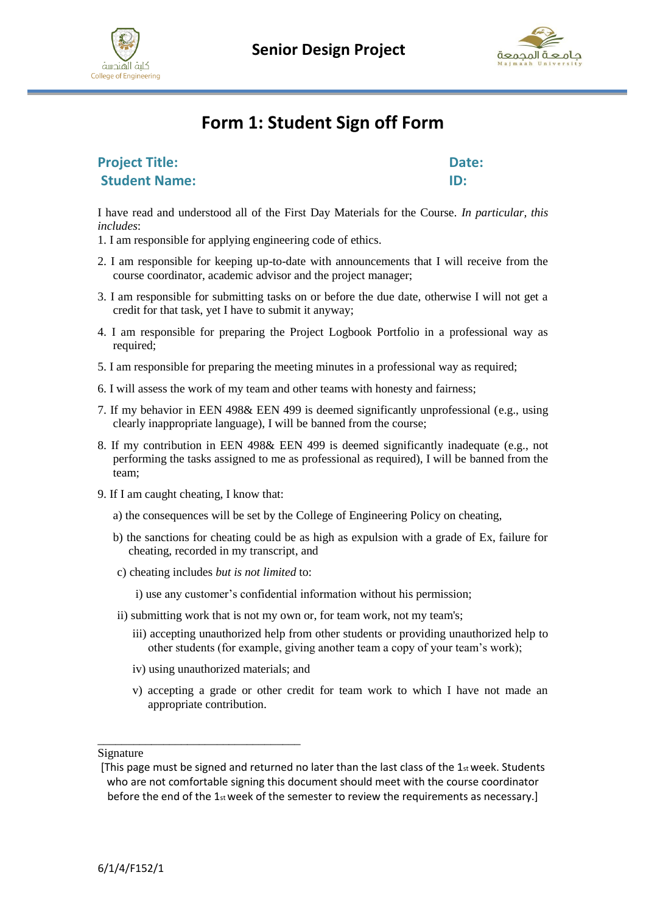





### **Form 1: Student Sign off Form**

| <b>Project Title:</b> | Date: |
|-----------------------|-------|
| <b>Student Name:</b>  | ID:   |

I have read and understood all of the First Day Materials for the Course. *In particular, this includes*:

- 1. I am responsible for applying engineering code of ethics.
- 2. I am responsible for keeping up-to-date with announcements that I will receive from the course coordinator, academic advisor and the project manager;
- 3. I am responsible for submitting tasks on or before the due date, otherwise I will not get a credit for that task, yet I have to submit it anyway;
- 4. I am responsible for preparing the Project Logbook Portfolio in a professional way as required;
- 5. I am responsible for preparing the meeting minutes in a professional way as required;
- 6. I will assess the work of my team and other teams with honesty and fairness;
- 7. If my behavior in EEN 498& EEN 499 is deemed significantly unprofessional (e.g., using clearly inappropriate language), I will be banned from the course;
- 8. If my contribution in EEN 498& EEN 499 is deemed significantly inadequate (e.g., not performing the tasks assigned to me as professional as required), I will be banned from the team;
- 9. If I am caught cheating, I know that:
	- a) the consequences will be set by the College of Engineering Policy on cheating,
	- b) the sanctions for cheating could be as high as expulsion with a grade of Ex, failure for cheating, recorded in my transcript, and
	- c) cheating includes *but is not limited* to:

i) use any customer's confidential information without his permission;

- ii) submitting work that is not my own or, for team work, not my team's;
	- iii) accepting unauthorized help from other students or providing unauthorized help to other students (for example, giving another team a copy of your team's work);
	- iv) using unauthorized materials; and

\_\_\_\_\_\_\_\_\_\_\_\_\_\_\_\_\_\_\_\_\_\_\_\_\_\_\_\_\_\_\_\_\_\_

v) accepting a grade or other credit for team work to which I have not made an appropriate contribution.

Signature

<sup>[</sup>This page must be signed and returned no later than the last class of the  $1_{st}$  week. Students who are not comfortable signing this document should meet with the course coordinator before the end of the  $1_{st}$  week of the semester to review the requirements as necessary.]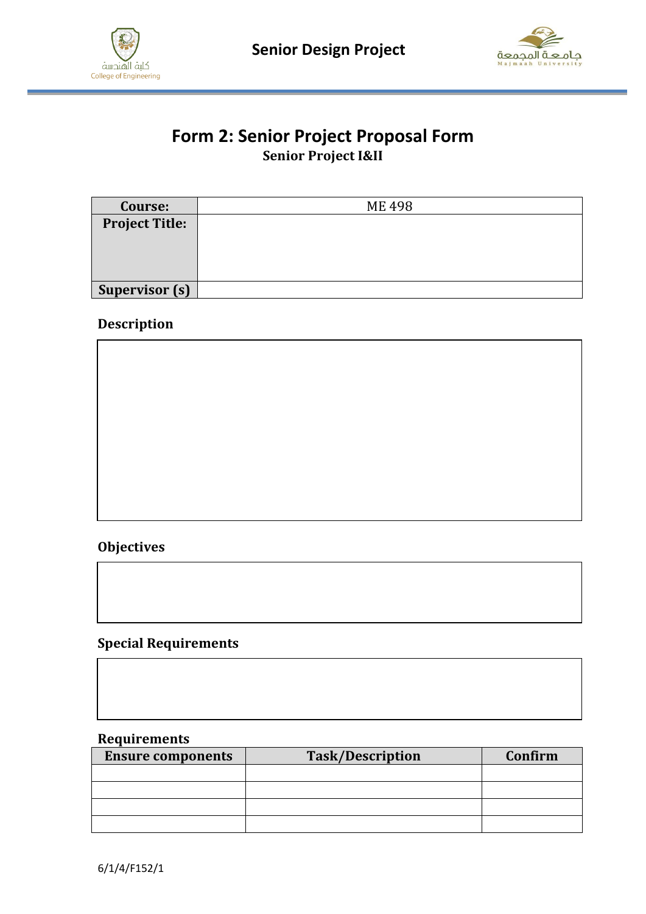



#### **Form 2: Senior Project Proposal Form Senior Project I&II**

| Course:               | <b>ME498</b> |
|-----------------------|--------------|
| <b>Project Title:</b> |              |
|                       |              |
|                       |              |
|                       |              |
| <b>Supervisor (s)</b> |              |

#### **Description**



#### **Objectives**

#### **Special Requirements**

#### **Requirements**

| <b>Ensure components</b> | <b>Task/Description</b> | Confirm |
|--------------------------|-------------------------|---------|
|                          |                         |         |
|                          |                         |         |
|                          |                         |         |
|                          |                         |         |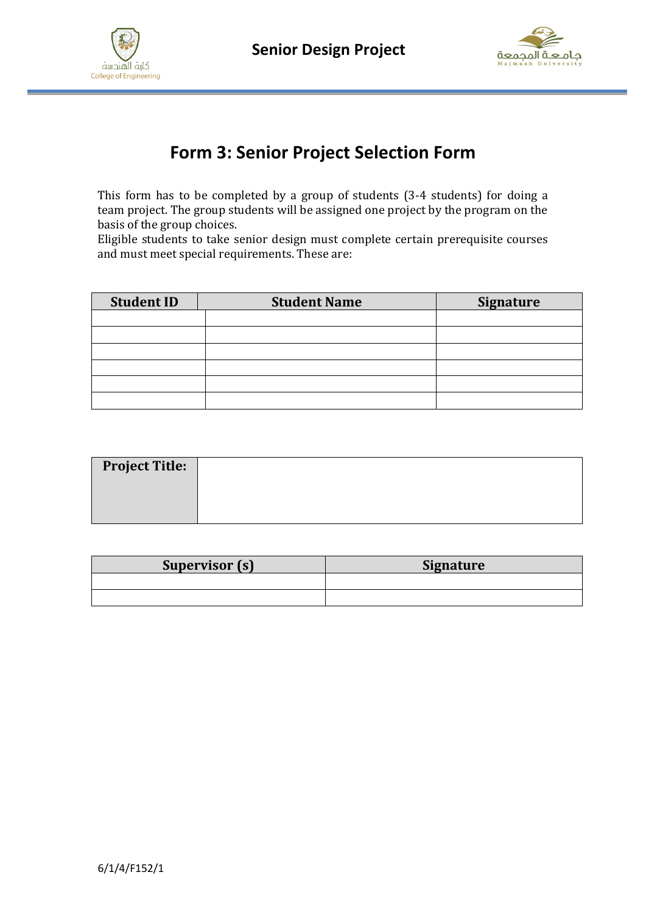



## **Form 3: Senior Project Selection Form**

This form has to be completed by a group of students (3-4 students) for doing a team project. The group students will be assigned one project by the program on the basis of the group choices.

Eligible students to take senior design must complete certain prerequisite courses and must meet special requirements. These are:

| <b>Student ID</b> | <b>Student Name</b> | <b>Signature</b> |
|-------------------|---------------------|------------------|
|                   |                     |                  |
|                   |                     |                  |
|                   |                     |                  |
|                   |                     |                  |
|                   |                     |                  |
|                   |                     |                  |

| <b>Project Title:</b> |  |
|-----------------------|--|
|                       |  |
|                       |  |

| Supervisor (s) | <b>Signature</b> |
|----------------|------------------|
|                |                  |
|                |                  |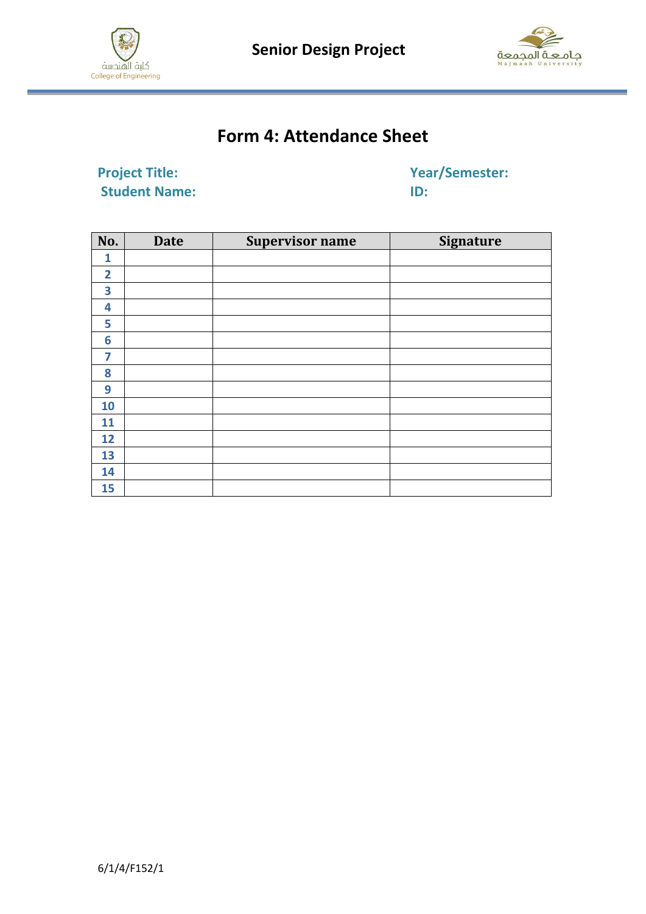

 **Senior Design Project**



# **Form 4: Attendance Sheet**

**Project Title:** Year/Semester: **Student Name:** ID:

| No.            | <b>Date</b> | <b>Supervisor name</b> | <b>Signature</b> |
|----------------|-------------|------------------------|------------------|
| 1              |             |                        |                  |
| $\overline{2}$ |             |                        |                  |
| 3              |             |                        |                  |
| 4              |             |                        |                  |
| 5              |             |                        |                  |
| 6              |             |                        |                  |
| 7              |             |                        |                  |
| 8              |             |                        |                  |
| 9              |             |                        |                  |
| 10             |             |                        |                  |
| 11             |             |                        |                  |
| 12             |             |                        |                  |
| 13             |             |                        |                  |
| 14             |             |                        |                  |
| 15             |             |                        |                  |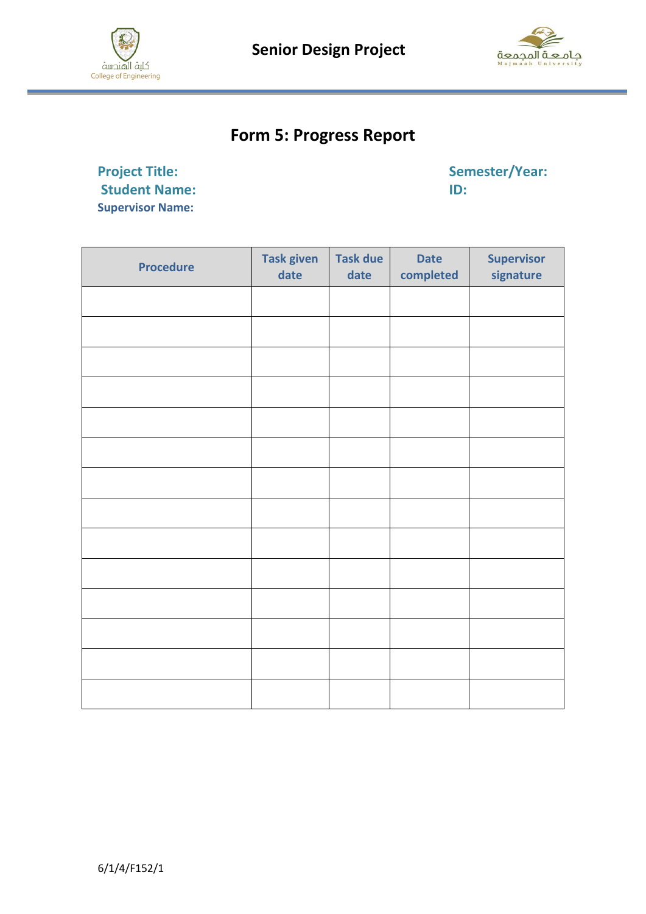



## **Form 5: Progress Report**

**Project Title:** Semester/Year: Student Name: Semester/Year: Student Name: Semester/Year: Student Name: Semester/Year: Student Name: Semester/Year: Student Name: Semester/Year: Student Name: Semester/Year: Student Name: St **Student Name: Supervisor Name:**

| <b>Procedure</b> | <b>Task given</b><br>date | <b>Task due</b><br>date | <b>Date</b><br>completed | <b>Supervisor</b><br>signature |
|------------------|---------------------------|-------------------------|--------------------------|--------------------------------|
|                  |                           |                         |                          |                                |
|                  |                           |                         |                          |                                |
|                  |                           |                         |                          |                                |
|                  |                           |                         |                          |                                |
|                  |                           |                         |                          |                                |
|                  |                           |                         |                          |                                |
|                  |                           |                         |                          |                                |
|                  |                           |                         |                          |                                |
|                  |                           |                         |                          |                                |
|                  |                           |                         |                          |                                |
|                  |                           |                         |                          |                                |
|                  |                           |                         |                          |                                |
|                  |                           |                         |                          |                                |
|                  |                           |                         |                          |                                |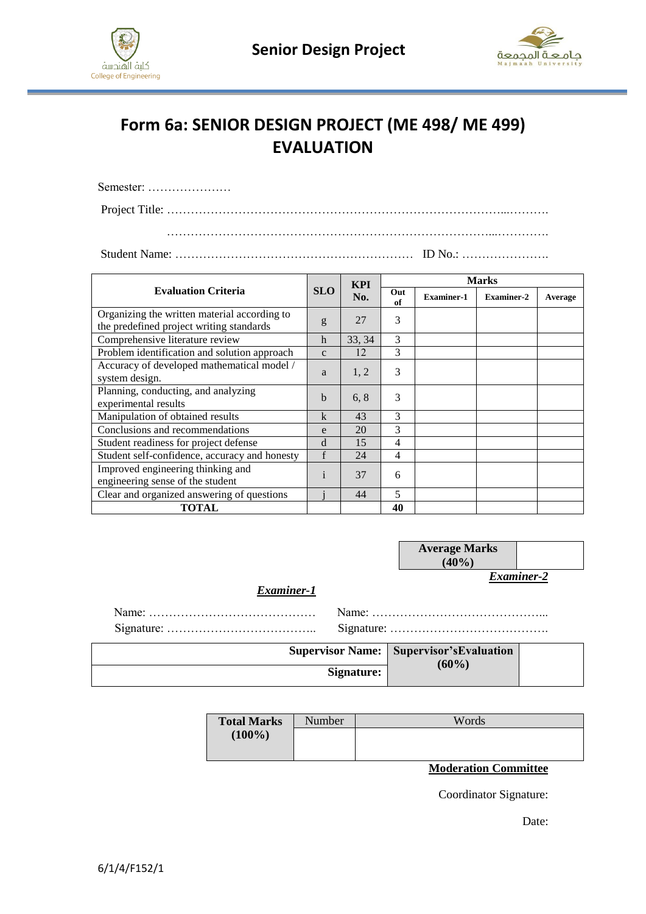



# **Form 6a: SENIOR DESIGN PROJECT (ME 498/ ME 499) EVALUATION**

| Semester: |  |  |  |  |  |  |  |  |  |
|-----------|--|--|--|--|--|--|--|--|--|
|           |  |  |  |  |  |  |  |  |  |
|           |  |  |  |  |  |  |  |  |  |

Student Name: …………………………………………………… ID No.: ………………….

| <b>SLO</b><br><b>Evaluation Criteria</b>                                                 |              | <b>KPI</b> |           | <b>Marks</b>      |                   |         |  |  |  |  |
|------------------------------------------------------------------------------------------|--------------|------------|-----------|-------------------|-------------------|---------|--|--|--|--|
|                                                                                          |              | No.        | Out<br>of | <b>Examiner-1</b> | <b>Examiner-2</b> | Average |  |  |  |  |
| Organizing the written material according to<br>the predefined project writing standards | g            | 27         | 3         |                   |                   |         |  |  |  |  |
| Comprehensive literature review                                                          | $\mathbf h$  | 33, 34     | 3         |                   |                   |         |  |  |  |  |
| Problem identification and solution approach                                             | $\mathbf{C}$ | 12         | 3         |                   |                   |         |  |  |  |  |
| Accuracy of developed mathematical model /<br>system design.                             | a            | 1, 2       | 3         |                   |                   |         |  |  |  |  |
| Planning, conducting, and analyzing<br>experimental results                              | $\mathbf b$  | 6, 8       | 3         |                   |                   |         |  |  |  |  |
| Manipulation of obtained results                                                         | k            | 43         | 3         |                   |                   |         |  |  |  |  |
| Conclusions and recommendations                                                          | e            | 20         | 3         |                   |                   |         |  |  |  |  |
| Student readiness for project defense                                                    | d            | 15         | 4         |                   |                   |         |  |  |  |  |
| Student self-confidence, accuracy and honesty                                            | f            | 24         | 4         |                   |                   |         |  |  |  |  |
| Improved engineering thinking and<br>engineering sense of the student                    | $\mathbf{1}$ | 37         | 6         |                   |                   |         |  |  |  |  |
| Clear and organized answering of questions                                               |              | 44         | 5         |                   |                   |         |  |  |  |  |
| <b>TOTAL</b>                                                                             |              |            | 40        |                   |                   |         |  |  |  |  |

|            |                         | <b>Average Marks</b><br>(40%) |  |
|------------|-------------------------|-------------------------------|--|
| Examiner-1 |                         | Examiner-2                    |  |
|            |                         |                               |  |
|            |                         |                               |  |
|            | <b>Supervisor Name:</b> | Supervisor's Evaluation       |  |
|            | Signature:              | $(60\%)$                      |  |

| <b>Total Marks</b> | Number | Words                                       |
|--------------------|--------|---------------------------------------------|
| $(100\%)$          |        |                                             |
|                    |        |                                             |
|                    |        | ---<br>$\sim$<br>$\sim$ $\sim$<br>$\bullet$ |

**Moderation Committee**

Coordinator Signature:

Date: